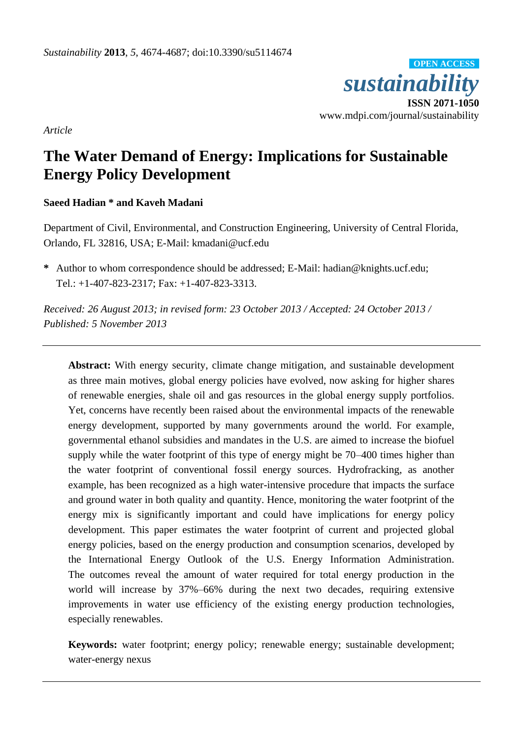

*Article*

# **The Water Demand of Energy: Implications for Sustainable Energy Policy Development**

## **Saeed Hadian \* and Kaveh Madani**

Department of Civil, Environmental, and Construction Engineering, University of Central Florida, Orlando, FL 32816, USA; E-Mail: kmadani@ucf.edu

**\*** Author to whom correspondence should be addressed; E-Mail: hadian@knights.ucf.edu; Tel.: +1-407-823-2317; Fax: +1-407-823-3313.

*Received: 26 August 2013; in revised form: 23 October 2013 / Accepted: 24 October 2013 / Published: 5 November 2013*

**Abstract:** With energy security, climate change mitigation, and sustainable development as three main motives, global energy policies have evolved, now asking for higher shares of renewable energies, shale oil and gas resources in the global energy supply portfolios. Yet, concerns have recently been raised about the environmental impacts of the renewable energy development, supported by many governments around the world. For example, governmental ethanol subsidies and mandates in the U.S. are aimed to increase the biofuel supply while the water footprint of this type of energy might be 70–400 times higher than the water footprint of conventional fossil energy sources. Hydrofracking, as another example, has been recognized as a high water-intensive procedure that impacts the surface and ground water in both quality and quantity. Hence, monitoring the water footprint of the energy mix is significantly important and could have implications for energy policy development. This paper estimates the water footprint of current and projected global energy policies, based on the energy production and consumption scenarios, developed by the International Energy Outlook of the U.S. Energy Information Administration. The outcomes reveal the amount of water required for total energy production in the world will increase by 37%–66% during the next two decades, requiring extensive improvements in water use efficiency of the existing energy production technologies, especially renewables.

**Keywords:** water footprint; energy policy; renewable energy; sustainable development; water-energy nexus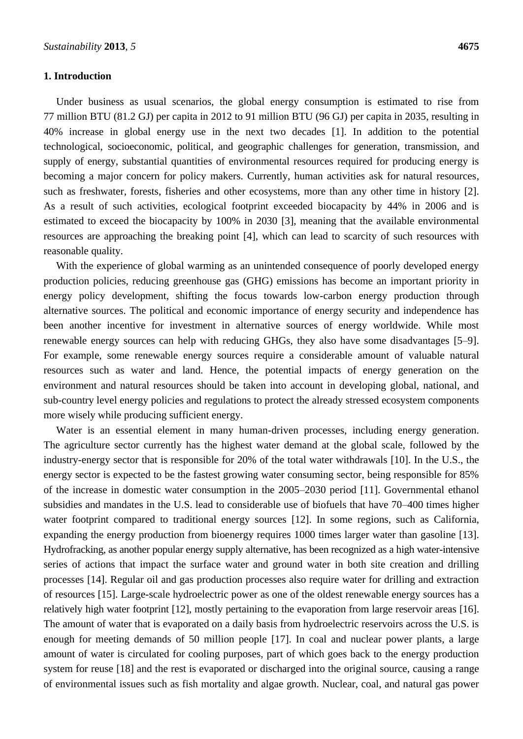#### **1. Introduction**

Under business as usual scenarios, the global energy consumption is estimated to rise from 77 million BTU (81.2 GJ) per capita in 2012 to 91 million BTU (96 GJ) per capita in 2035, resulting in 40% increase in global energy use in the next two decades [1]. In addition to the potential technological, socioeconomic, political, and geographic challenges for generation, transmission, and supply of energy, substantial quantities of environmental resources required for producing energy is becoming a major concern for policy makers. Currently, human activities ask for natural resources, such as freshwater, forests, fisheries and other ecosystems, more than any other time in history [2]. As a result of such activities, ecological footprint exceeded biocapacity by 44% in 2006 and is estimated to exceed the biocapacity by 100% in 2030 [3], meaning that the available environmental resources are approaching the breaking point [4], which can lead to scarcity of such resources with reasonable quality.

With the experience of global warming as an unintended consequence of poorly developed energy production policies, reducing greenhouse gas (GHG) emissions has become an important priority in energy policy development, shifting the focus towards low-carbon energy production through alternative sources. The political and economic importance of energy security and independence has been another incentive for investment in alternative sources of energy worldwide. While most renewable energy sources can help with reducing GHGs, they also have some disadvantages [5–9]. For example, some renewable energy sources require a considerable amount of valuable natural resources such as water and land. Hence, the potential impacts of energy generation on the environment and natural resources should be taken into account in developing global, national, and sub-country level energy policies and regulations to protect the already stressed ecosystem components more wisely while producing sufficient energy.

Water is an essential element in many human-driven processes, including energy generation. The agriculture sector currently has the highest water demand at the global scale, followed by the industry-energy sector that is responsible for 20% of the total water withdrawals [10]. In the U.S., the energy sector is expected to be the fastest growing water consuming sector, being responsible for 85% of the increase in domestic water consumption in the 2005–2030 period [11]. Governmental ethanol subsidies and mandates in the U.S. lead to considerable use of biofuels that have 70–400 times higher water footprint compared to traditional energy sources [12]. In some regions, such as California, expanding the energy production from bioenergy requires 1000 times larger water than gasoline [13]. Hydrofracking, as another popular energy supply alternative, has been recognized as a high water-intensive series of actions that impact the surface water and ground water in both site creation and drilling processes [14]. Regular oil and gas production processes also require water for drilling and extraction of resources [15]. Large-scale hydroelectric power as one of the oldest renewable energy sources has a relatively high water footprint [12], mostly pertaining to the evaporation from large reservoir areas [16]. The amount of water that is evaporated on a daily basis from hydroelectric reservoirs across the U.S. is enough for meeting demands of 50 million people [17]. In coal and nuclear power plants, a large amount of water is circulated for cooling purposes, part of which goes back to the energy production system for reuse [18] and the rest is evaporated or discharged into the original source, causing a range of environmental issues such as fish mortality and algae growth. Nuclear, coal, and natural gas power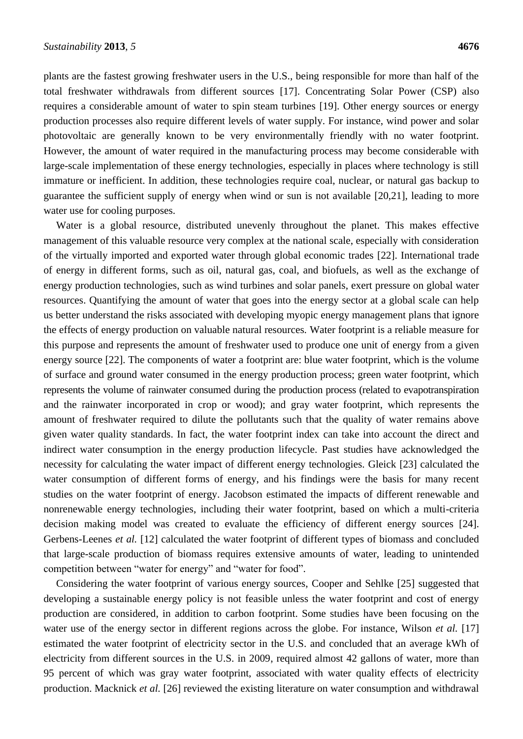plants are the fastest growing freshwater users in the U.S., being responsible for more than half of the total freshwater withdrawals from different sources [17]. Concentrating Solar Power (CSP) also requires a considerable amount of water to spin steam turbines [19]. Other energy sources or energy production processes also require different levels of water supply. For instance, wind power and solar photovoltaic are generally known to be very environmentally friendly with no water footprint. However, the amount of water required in the manufacturing process may become considerable with large-scale implementation of these energy technologies, especially in places where technology is still immature or inefficient. In addition, these technologies require coal, nuclear, or natural gas backup to guarantee the sufficient supply of energy when wind or sun is not available [20,21], leading to more water use for cooling purposes.

Water is a global resource, distributed unevenly throughout the planet. This makes effective management of this valuable resource very complex at the national scale, especially with consideration of the virtually imported and exported water through global economic trades [22]. International trade of energy in different forms, such as oil, natural gas, coal, and biofuels, as well as the exchange of energy production technologies, such as wind turbines and solar panels, exert pressure on global water resources. Quantifying the amount of water that goes into the energy sector at a global scale can help us better understand the risks associated with developing myopic energy management plans that ignore the effects of energy production on valuable natural resources. Water footprint is a reliable measure for this purpose and represents the amount of freshwater used to produce one unit of energy from a given energy source [22]. The components of water a footprint are: blue water footprint, which is the volume of surface and ground water consumed in the energy production process; green water footprint, which represents the volume of rainwater consumed during the production process (related to evapotranspiration and the rainwater incorporated in crop or wood); and gray water footprint, which represents the amount of freshwater required to dilute the pollutants such that the quality of water remains above given water quality standards. In fact, the water footprint index can take into account the direct and indirect water consumption in the energy production lifecycle. Past studies have acknowledged the necessity for calculating the water impact of different energy technologies. Gleick [23] calculated the water consumption of different forms of energy, and his findings were the basis for many recent studies on the water footprint of energy. Jacobson estimated the impacts of different renewable and nonrenewable energy technologies, including their water footprint, based on which a multi-criteria decision making model was created to evaluate the efficiency of different energy sources [24]. Gerbens-Leenes *et al.* [12] calculated the water footprint of different types of biomass and concluded that large-scale production of biomass requires extensive amounts of water, leading to unintended competition between "water for energy" and "water for food".

Considering the water footprint of various energy sources, Cooper and Sehlke [25] suggested that developing a sustainable energy policy is not feasible unless the water footprint and cost of energy production are considered, in addition to carbon footprint. Some studies have been focusing on the water use of the energy sector in different regions across the globe. For instance, Wilson *et al.* [17] estimated the water footprint of electricity sector in the U.S. and concluded that an average kWh of electricity from different sources in the U.S. in 2009, required almost 42 gallons of water, more than 95 percent of which was gray water footprint, associated with water quality effects of electricity production. Macknick *et al.* [26] reviewed the existing literature on water consumption and withdrawal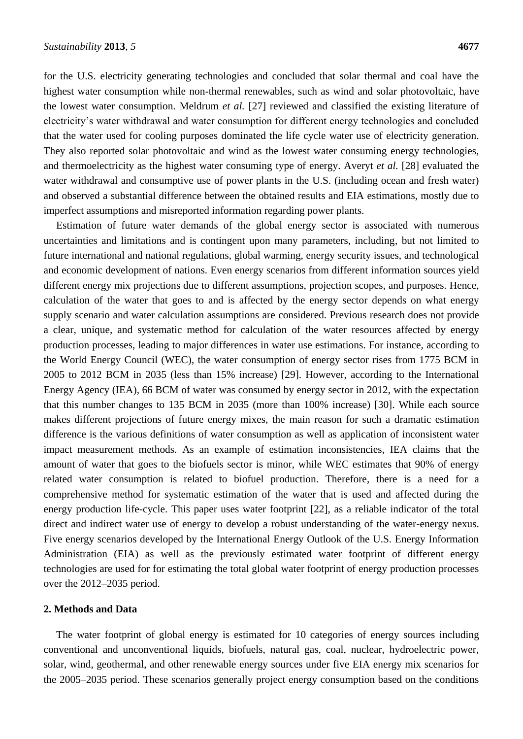for the U.S. electricity generating technologies and concluded that solar thermal and coal have the highest water consumption while non-thermal renewables, such as wind and solar photovoltaic, have the lowest water consumption. Meldrum *et al.* [27] reviewed and classified the existing literature of electricity's water withdrawal and water consumption for different energy technologies and concluded that the water used for cooling purposes dominated the life cycle water use of electricity generation. They also reported solar photovoltaic and wind as the lowest water consuming energy technologies, and thermoelectricity as the highest water consuming type of energy. Averyt *et al.* [28] evaluated the water withdrawal and consumptive use of power plants in the U.S. (including ocean and fresh water) and observed a substantial difference between the obtained results and EIA estimations, mostly due to imperfect assumptions and misreported information regarding power plants.

Estimation of future water demands of the global energy sector is associated with numerous uncertainties and limitations and is contingent upon many parameters, including, but not limited to future international and national regulations, global warming, energy security issues, and technological and economic development of nations. Even energy scenarios from different information sources yield different energy mix projections due to different assumptions, projection scopes, and purposes. Hence, calculation of the water that goes to and is affected by the energy sector depends on what energy supply scenario and water calculation assumptions are considered. Previous research does not provide a clear, unique, and systematic method for calculation of the water resources affected by energy production processes, leading to major differences in water use estimations. For instance, according to the World Energy Council (WEC), the water consumption of energy sector rises from 1775 BCM in 2005 to 2012 BCM in 2035 (less than 15% increase) [29]. However, according to the International Energy Agency (IEA), 66 BCM of water was consumed by energy sector in 2012, with the expectation that this number changes to 135 BCM in 2035 (more than 100% increase) [30]. While each source makes different projections of future energy mixes, the main reason for such a dramatic estimation difference is the various definitions of water consumption as well as application of inconsistent water impact measurement methods. As an example of estimation inconsistencies, IEA claims that the amount of water that goes to the biofuels sector is minor, while WEC estimates that 90% of energy related water consumption is related to biofuel production. Therefore, there is a need for a comprehensive method for systematic estimation of the water that is used and affected during the energy production life-cycle. This paper uses water footprint [22], as a reliable indicator of the total direct and indirect water use of energy to develop a robust understanding of the water-energy nexus. Five energy scenarios developed by the International Energy Outlook of the U.S. Energy Information Administration (EIA) as well as the previously estimated water footprint of different energy technologies are used for for estimating the total global water footprint of energy production processes over the 2012–2035 period.

## **2. Methods and Data**

The water footprint of global energy is estimated for 10 categories of energy sources including conventional and unconventional liquids, biofuels, natural gas, coal, nuclear, hydroelectric power, solar, wind, geothermal, and other renewable energy sources under five EIA energy mix scenarios for the 2005–2035 period. These scenarios generally project energy consumption based on the conditions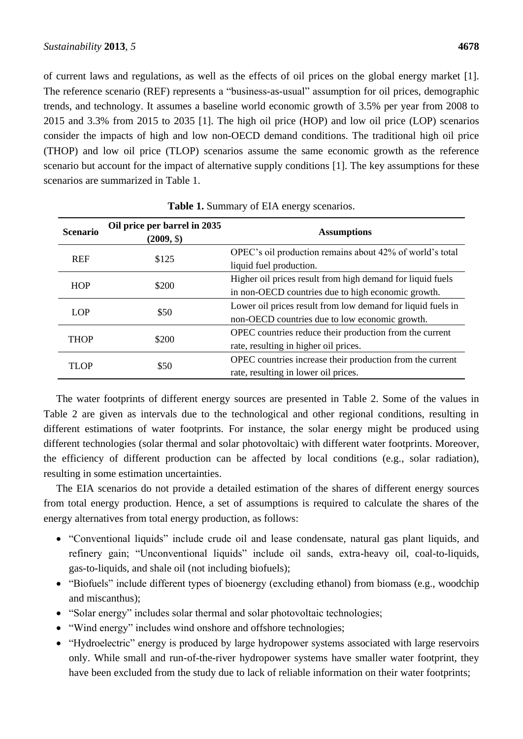of current laws and regulations, as well as the effects of oil prices on the global energy market [1]. The reference scenario (REF) represents a "business-as-usual" assumption for oil prices, demographic trends, and technology. It assumes a baseline world economic growth of 3.5% per year from 2008 to 2015 and 3.3% from 2015 to 2035 [1]. The high oil price (HOP) and low oil price (LOP) scenarios consider the impacts of high and low non-OECD demand conditions. The traditional high oil price (THOP) and low oil price (TLOP) scenarios assume the same economic growth as the reference scenario but account for the impact of alternative supply conditions [1]. The key assumptions for these scenarios are summarized in Table 1.

| <b>Scenario</b> | Oil price per barrel in 2035<br>(2009, \$) | <b>Assumptions</b>                                                                                               |  |  |
|-----------------|--------------------------------------------|------------------------------------------------------------------------------------------------------------------|--|--|
| <b>REF</b>      | \$125                                      | OPEC's oil production remains about 42% of world's total<br>liquid fuel production.                              |  |  |
| <b>HOP</b>      | \$200                                      | Higher oil prices result from high demand for liquid fuels<br>in non-OECD countries due to high economic growth. |  |  |
| <b>LOP</b>      | \$50                                       | Lower oil prices result from low demand for liquid fuels in<br>non-OECD countries due to low economic growth.    |  |  |
| <b>THOP</b>     | \$200                                      | OPEC countries reduce their production from the current<br>rate, resulting in higher oil prices.                 |  |  |
| TLOP            | \$50                                       | OPEC countries increase their production from the current<br>rate, resulting in lower oil prices.                |  |  |

| Table 1. Summary of EIA energy scenarios. |  |
|-------------------------------------------|--|
|-------------------------------------------|--|

The water footprints of different energy sources are presented in Table 2. Some of the values in Table 2 are given as intervals due to the technological and other regional conditions, resulting in different estimations of water footprints. For instance, the solar energy might be produced using different technologies (solar thermal and solar photovoltaic) with different water footprints. Moreover, the efficiency of different production can be affected by local conditions (e.g., solar radiation), resulting in some estimation uncertainties.

The EIA scenarios do not provide a detailed estimation of the shares of different energy sources from total energy production. Hence, a set of assumptions is required to calculate the shares of the energy alternatives from total energy production, as follows:

- "Conventional liquids" include crude oil and lease condensate, natural gas plant liquids, and refinery gain; "Unconventional liquids" include oil sands, extra-heavy oil, coal-to-liquids, gas-to-liquids, and shale oil (not including biofuels);
- "Biofuels" include different types of bioenergy (excluding ethanol) from biomass (e.g., woodchip and miscanthus);
- "Solar energy" includes solar thermal and solar photovoltaic technologies;
- "Wind energy" includes wind onshore and offshore technologies;
- "Hydroelectric" energy is produced by large hydropower systems associated with large reservoirs only. While small and run-of-the-river hydropower systems have smaller water footprint, they have been excluded from the study due to lack of reliable information on their water footprints;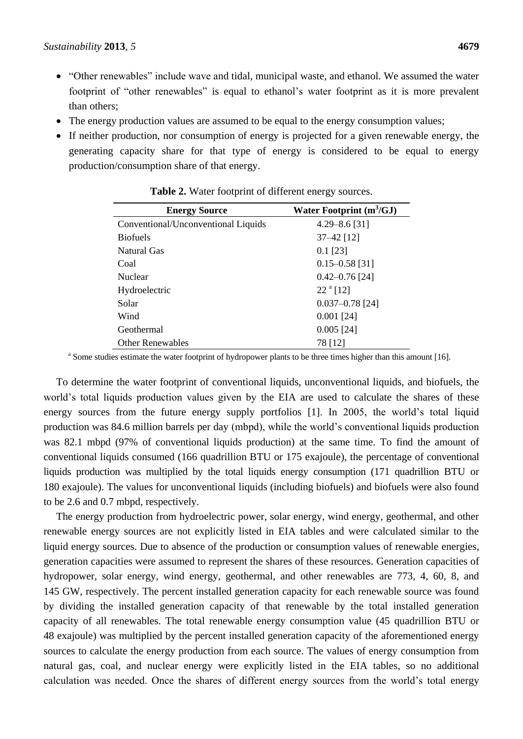- "Other renewables" include wave and tidal, municipal waste, and ethanol. We assumed the water footprint of "other renewables" is equal to ethanol's water footprint as it is more prevalent than others;
- The energy production values are assumed to be equal to the energy consumption values;
- If neither production, nor consumption of energy is projected for a given renewable energy, the generating capacity share for that type of energy is considered to be equal to energy production/consumption share of that energy.

| <b>Energy Source</b>                | Water Footprint $(m^3/GJ)$ |  |  |  |
|-------------------------------------|----------------------------|--|--|--|
| Conventional/Unconventional Liquids | $4.29 - 8.6$ [31]          |  |  |  |
| <b>Biofuels</b>                     | $37 - 42$ [12]             |  |  |  |
| Natural Gas                         | $0.1$ [23]                 |  |  |  |
| Coal                                | $0.15 - 0.58$ [31]         |  |  |  |
| <b>Nuclear</b>                      | $0.42 - 0.76$ [24]         |  |  |  |
| Hydroelectric                       | $22a$ [12]                 |  |  |  |
| Solar                               | $0.037 - 0.78$ [24]        |  |  |  |
| Wind                                | $0.001$ [24]               |  |  |  |
| Geothermal                          | $0.005$ [24]               |  |  |  |
| <b>Other Renewables</b>             | 78 [12]                    |  |  |  |

**Table 2.** Water footprint of different energy sources.

<sup>a</sup> Some studies estimate the water footprint of hydropower plants to be three times higher than this amount [16].

To determine the water footprint of conventional liquids, unconventional liquids, and biofuels, the world's total liquids production values given by the EIA are used to calculate the shares of these energy sources from the future energy supply portfolios [1]. In 2005, the world's total liquid production was 84.6 million barrels per day (mbpd), while the world's conventional liquids production was 82.1 mbpd (97% of conventional liquids production) at the same time. To find the amount of conventional liquids consumed (166 quadrillion BTU or 175 exajoule), the percentage of conventional liquids production was multiplied by the total liquids energy consumption (171 quadrillion BTU or 180 exajoule). The values for unconventional liquids (including biofuels) and biofuels were also found to be 2.6 and 0.7 mbpd, respectively.

The energy production from hydroelectric power, solar energy, wind energy, geothermal, and other renewable energy sources are not explicitly listed in EIA tables and were calculated similar to the liquid energy sources. Due to absence of the production or consumption values of renewable energies, generation capacities were assumed to represent the shares of these resources. Generation capacities of hydropower, solar energy, wind energy, geothermal, and other renewables are 773, 4, 60, 8, and 145 GW, respectively. The percent installed generation capacity for each renewable source was found by dividing the installed generation capacity of that renewable by the total installed generation capacity of all renewables. The total renewable energy consumption value (45 quadrillion BTU or 48 exajoule) was multiplied by the percent installed generation capacity of the aforementioned energy sources to calculate the energy production from each source. The values of energy consumption from natural gas, coal, and nuclear energy were explicitly listed in the EIA tables, so no additional calculation was needed. Once the shares of different energy sources from the world's total energy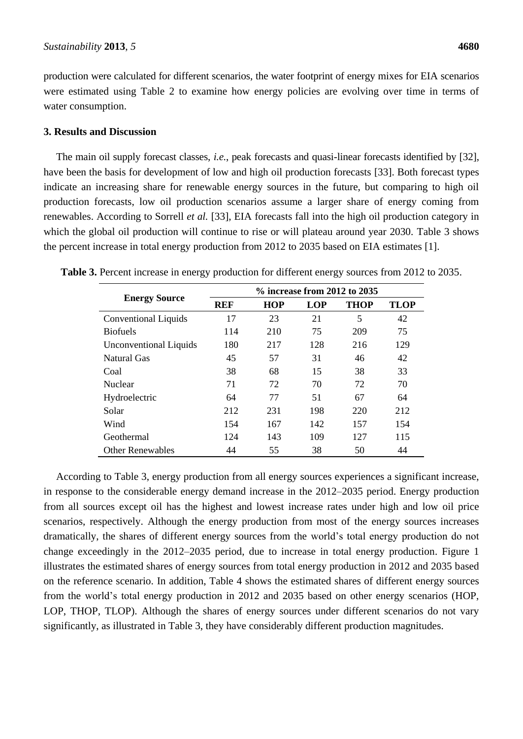production were calculated for different scenarios, the water footprint of energy mixes for EIA scenarios were estimated using Table 2 to examine how energy policies are evolving over time in terms of water consumption.

#### **3. Results and Discussion**

The main oil supply forecast classes, *i.e.*, peak forecasts and quasi-linear forecasts identified by [32], have been the basis for development of low and high oil production forecasts [33]. Both forecast types indicate an increasing share for renewable energy sources in the future, but comparing to high oil production forecasts, low oil production scenarios assume a larger share of energy coming from renewables. According to Sorrell *et al.* [33], EIA forecasts fall into the high oil production category in which the global oil production will continue to rise or will plateau around year 2030. Table 3 shows the percent increase in total energy production from 2012 to 2035 based on EIA estimates [1].

|                               | $\%$ increase from 2012 to 2035 |            |            |             |             |  |  |
|-------------------------------|---------------------------------|------------|------------|-------------|-------------|--|--|
| <b>Energy Source</b>          | <b>REF</b>                      | <b>HOP</b> | <b>LOP</b> | <b>THOP</b> | <b>TLOP</b> |  |  |
| <b>Conventional Liquids</b>   | 17                              | 23         | 21         | 5           | 42          |  |  |
| <b>Biofuels</b>               | 114                             | 210        | 75         | 209         | 75          |  |  |
| <b>Unconventional Liquids</b> | 180                             | 217        | 128        | 216         | 129         |  |  |
| Natural Gas                   | 45                              | 57         | 31         | 46          | 42          |  |  |
| Coal                          | 38                              | 68         | 15         | 38          | 33          |  |  |
| <b>Nuclear</b>                | 71                              | 72         | 70         | 72          | 70          |  |  |
| Hydroelectric                 | 64                              | 77         | 51         | 67          | 64          |  |  |
| Solar                         | 212                             | 231        | 198        | 220         | 212         |  |  |
| Wind                          | 154                             | 167        | 142        | 157         | 154         |  |  |
| Geothermal                    | 124                             | 143        | 109        | 127         | 115         |  |  |
| <b>Other Renewables</b>       | 44                              | 55         | 38         | 50          | 44          |  |  |

**Table 3.** Percent increase in energy production for different energy sources from 2012 to 2035.

According to Table 3, energy production from all energy sources experiences a significant increase, in response to the considerable energy demand increase in the 2012–2035 period. Energy production from all sources except oil has the highest and lowest increase rates under high and low oil price scenarios, respectively. Although the energy production from most of the energy sources increases dramatically, the shares of different energy sources from the world's total energy production do not change exceedingly in the 2012–2035 period, due to increase in total energy production. Figure 1 illustrates the estimated shares of energy sources from total energy production in 2012 and 2035 based on the reference scenario. In addition, Table 4 shows the estimated shares of different energy sources from the world's total energy production in 2012 and 2035 based on other energy scenarios (HOP, LOP, THOP, TLOP). Although the shares of energy sources under different scenarios do not vary significantly, as illustrated in Table 3, they have considerably different production magnitudes.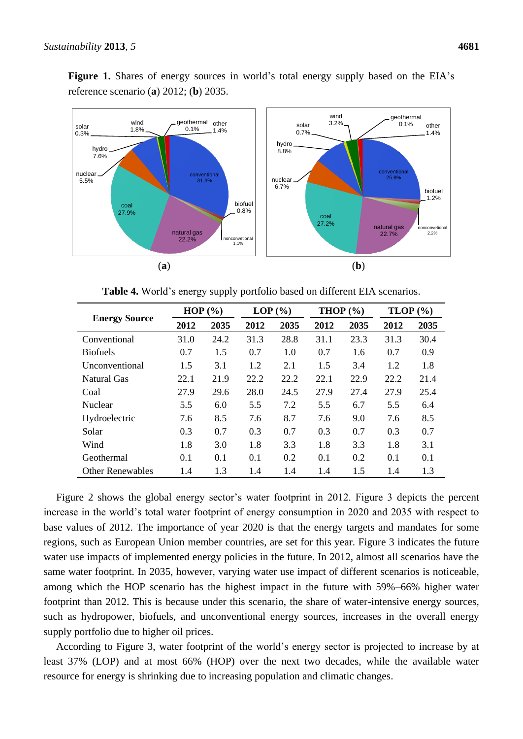Figure 1. Shares of energy sources in world's total energy supply based on the EIA's reference scenario (**a**) 2012; (**b**) 2035.



**Table 4.** World's energy supply portfolio based on different EIA scenarios.

|                         | HOP $(\% )$ |      | LOP(%) |      | <b>THOP</b> $(\% )$ |      | $TLOP$ $(\% )$ |      |
|-------------------------|-------------|------|--------|------|---------------------|------|----------------|------|
| <b>Energy Source</b>    | 2012        | 2035 | 2012   | 2035 | 2012                | 2035 | 2012           | 2035 |
| Conventional            | 31.0        | 24.2 | 31.3   | 28.8 | 31.1                | 23.3 | 31.3           | 30.4 |
| <b>Biofuels</b>         | 0.7         | 1.5  | 0.7    | 1.0  | 0.7                 | 1.6  | 0.7            | 0.9  |
| Unconventional          | 1.5         | 3.1  | 1.2    | 2.1  | 1.5                 | 3.4  | 1.2            | 1.8  |
| Natural Gas             | 22.1        | 21.9 | 22.2   | 22.2 | 22.1                | 22.9 | 22.2           | 21.4 |
| Coal                    | 27.9        | 29.6 | 28.0   | 24.5 | 27.9                | 27.4 | 27.9           | 25.4 |
| <b>Nuclear</b>          | 5.5         | 6.0  | 5.5    | 7.2  | 5.5                 | 6.7  | 5.5            | 6.4  |
| Hydroelectric           | 7.6         | 8.5  | 7.6    | 8.7  | 7.6                 | 9.0  | 7.6            | 8.5  |
| Solar                   | 0.3         | 0.7  | 0.3    | 0.7  | 0.3                 | 0.7  | 0.3            | 0.7  |
| Wind                    | 1.8         | 3.0  | 1.8    | 3.3  | 1.8                 | 3.3  | 1.8            | 3.1  |
| Geothermal              | 0.1         | 0.1  | 0.1    | 0.2  | 0.1                 | 0.2  | 0.1            | 0.1  |
| <b>Other Renewables</b> | 1.4         | 1.3  | 1.4    | 1.4  | 1.4                 | 1.5  | 1.4            | 1.3  |

Figure 2 shows the global energy sector's water footprint in 2012. Figure 3 depicts the percent increase in the world's total water footprint of energy consumption in 2020 and 2035 with respect to base values of 2012. The importance of year 2020 is that the energy targets and mandates for some regions, such as European Union member countries, are set for this year. Figure 3 indicates the future water use impacts of implemented energy policies in the future. In 2012, almost all scenarios have the same water footprint. In 2035, however, varying water use impact of different scenarios is noticeable, among which the HOP scenario has the highest impact in the future with 59%–66% higher water footprint than 2012. This is because under this scenario, the share of water-intensive energy sources, such as hydropower, biofuels, and unconventional energy sources, increases in the overall energy supply portfolio due to higher oil prices.

According to Figure 3, water footprint of the world's energy sector is projected to increase by at least 37% (LOP) and at most 66% (HOP) over the next two decades, while the available water resource for energy is shrinking due to increasing population and climatic changes.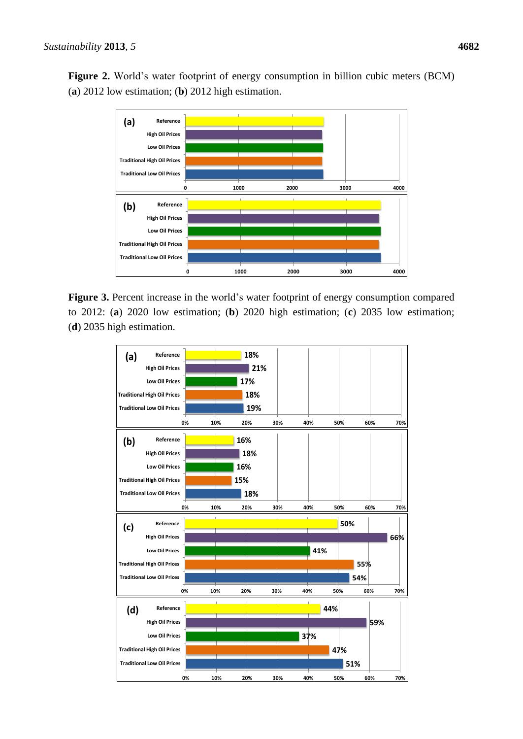**Figure 2.** World's water footprint of energy consumption in billion cubic meters (BCM) (**a**) 2012 low estimation; (**b**) 2012 high estimation.



**Figure 3.** Percent increase in the world's water footprint of energy consumption compared to 2012: (**a**) 2020 low estimation; (**b**) 2020 high estimation; (**c**) 2035 low estimation; (**d**) 2035 high estimation.

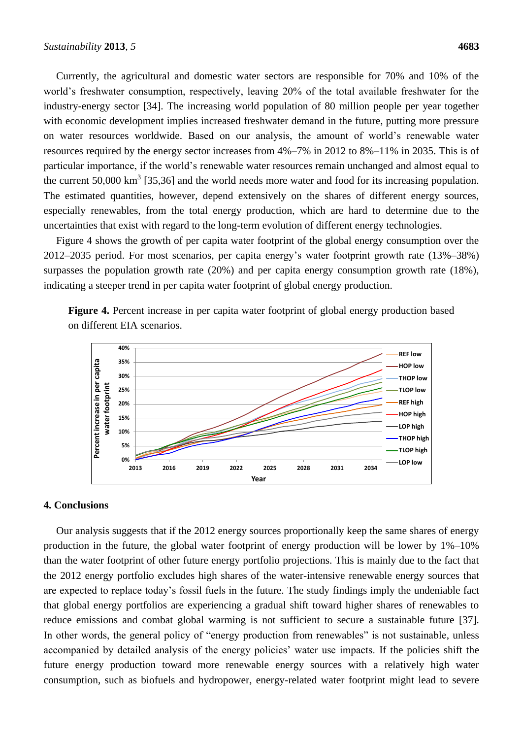Currently, the agricultural and domestic water sectors are responsible for 70% and 10% of the world's freshwater consumption, respectively, leaving 20% of the total available freshwater for the industry-energy sector [34]. The increasing world population of 80 million people per year together with economic development implies increased freshwater demand in the future, putting more pressure on water resources worldwide. Based on our analysis, the amount of world's renewable water resources required by the energy sector increases from 4%–7% in 2012 to 8%–11% in 2035. This is of particular importance, if the world's renewable water resources remain unchanged and almost equal to the current 50,000  $\text{km}^3$  [35,36] and the world needs more water and food for its increasing population. The estimated quantities, however, depend extensively on the shares of different energy sources, especially renewables, from the total energy production, which are hard to determine due to the uncertainties that exist with regard to the long-term evolution of different energy technologies.

Figure 4 shows the growth of per capita water footprint of the global energy consumption over the 2012–2035 period. For most scenarios, per capita energy's water footprint growth rate (13%–38%) surpasses the population growth rate (20%) and per capita energy consumption growth rate (18%), indicating a steeper trend in per capita water footprint of global energy production.

**Figure 4.** Percent increase in per capita water footprint of global energy production based on different EIA scenarios.



#### **4. Conclusions**

Our analysis suggests that if the 2012 energy sources proportionally keep the same shares of energy production in the future, the global water footprint of energy production will be lower by 1%–10% than the water footprint of other future energy portfolio projections. This is mainly due to the fact that the 2012 energy portfolio excludes high shares of the water-intensive renewable energy sources that are expected to replace today's fossil fuels in the future. The study findings imply the undeniable fact that global energy portfolios are experiencing a gradual shift toward higher shares of renewables to reduce emissions and combat global warming is not sufficient to secure a sustainable future [37]. In other words, the general policy of "energy production from renewables" is not sustainable, unless accompanied by detailed analysis of the energy policies' water use impacts. If the policies shift the future energy production toward more renewable energy sources with a relatively high water consumption, such as biofuels and hydropower, energy-related water footprint might lead to severe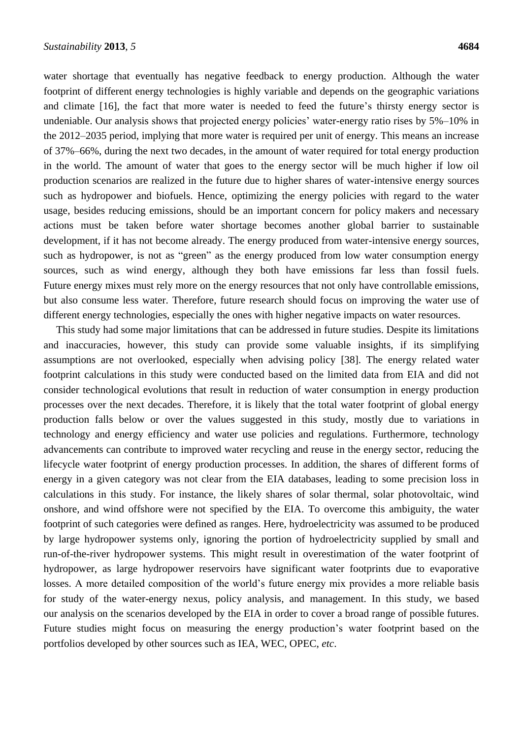water shortage that eventually has negative feedback to energy production. Although the water footprint of different energy technologies is highly variable and depends on the geographic variations and climate [16], the fact that more water is needed to feed the future's thirsty energy sector is undeniable. Our analysis shows that projected energy policies' water-energy ratio rises by 5%–10% in the 2012–2035 period, implying that more water is required per unit of energy. This means an increase of 37%–66%, during the next two decades, in the amount of water required for total energy production in the world. The amount of water that goes to the energy sector will be much higher if low oil production scenarios are realized in the future due to higher shares of water-intensive energy sources such as hydropower and biofuels. Hence, optimizing the energy policies with regard to the water usage, besides reducing emissions, should be an important concern for policy makers and necessary actions must be taken before water shortage becomes another global barrier to sustainable development, if it has not become already. The energy produced from water-intensive energy sources, such as hydropower, is not as "green" as the energy produced from low water consumption energy sources, such as wind energy, although they both have emissions far less than fossil fuels. Future energy mixes must rely more on the energy resources that not only have controllable emissions, but also consume less water. Therefore, future research should focus on improving the water use of different energy technologies, especially the ones with higher negative impacts on water resources.

This study had some major limitations that can be addressed in future studies. Despite its limitations and inaccuracies, however, this study can provide some valuable insights, if its simplifying assumptions are not overlooked, especially when advising policy [38]. The energy related water footprint calculations in this study were conducted based on the limited data from EIA and did not consider technological evolutions that result in reduction of water consumption in energy production processes over the next decades. Therefore, it is likely that the total water footprint of global energy production falls below or over the values suggested in this study, mostly due to variations in technology and energy efficiency and water use policies and regulations. Furthermore, technology advancements can contribute to improved water recycling and reuse in the energy sector, reducing the lifecycle water footprint of energy production processes. In addition, the shares of different forms of energy in a given category was not clear from the EIA databases, leading to some precision loss in calculations in this study. For instance, the likely shares of solar thermal, solar photovoltaic, wind onshore, and wind offshore were not specified by the EIA. To overcome this ambiguity, the water footprint of such categories were defined as ranges. Here, hydroelectricity was assumed to be produced by large hydropower systems only, ignoring the portion of hydroelectricity supplied by small and run-of-the-river hydropower systems. This might result in overestimation of the water footprint of hydropower, as large hydropower reservoirs have significant water footprints due to evaporative losses. A more detailed composition of the world's future energy mix provides a more reliable basis for study of the water-energy nexus, policy analysis, and management. In this study, we based our analysis on the scenarios developed by the EIA in order to cover a broad range of possible futures. Future studies might focus on measuring the energy production's water footprint based on the portfolios developed by other sources such as IEA, WEC, OPEC, *etc*.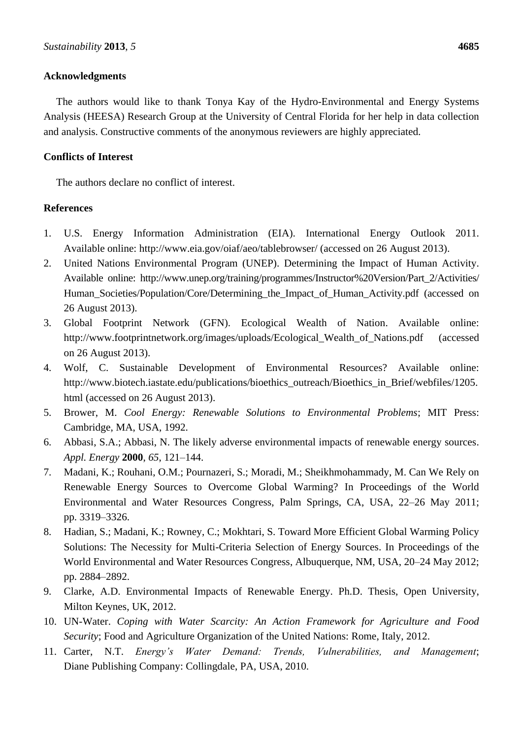## **Acknowledgments**

The authors would like to thank Tonya Kay of the Hydro-Environmental and Energy Systems Analysis (HEESA) Research Group at the University of Central Florida for her help in data collection and analysis. Constructive comments of the anonymous reviewers are highly appreciated.

## **Conflicts of Interest**

The authors declare no conflict of interest.

## **References**

- 1. U.S. Energy Information Administration (EIA). International Energy Outlook 2011. Available online: http://www.eia.gov/oiaf/aeo/tablebrowser/ (accessed on 26 August 2013).
- 2. United Nations Environmental Program (UNEP). Determining the Impact of Human Activity. Available online: http://www.unep.org/training/programmes/Instructor%20Version/Part\_2/Activities/ Human Societies/Population/Core/Determining the Impact of Human Activity.pdf (accessed on 26 August 2013).
- 3. Global Footprint Network (GFN). Ecological Wealth of Nation. Available online: http://www.footprintnetwork.org/images/uploads/Ecological\_Wealth\_of\_Nations.pdf (accessed on 26 August 2013).
- 4. Wolf, C. Sustainable Development of Environmental Resources? Available online: http://www.biotech.iastate.edu/publications/bioethics\_outreach/Bioethics\_in\_Brief/webfiles/1205. html (accessed on 26 August 2013).
- 5. Brower, M. *Cool Energy: Renewable Solutions to Environmental Problems*; MIT Press: Cambridge, MA, USA, 1992.
- 6. Abbasi, S.A.; Abbasi, N. The likely adverse environmental impacts of renewable energy sources. *Appl. Energy* **2000**, *65*, 121–144.
- 7. Madani, K.; Rouhani, O.M.; Pournazeri, S.; Moradi, M.; Sheikhmohammady, M. Can We Rely on Renewable Energy Sources to Overcome Global Warming? In Proceedings of the World Environmental and Water Resources Congress, Palm Springs, CA, USA, 22–26 May 2011; pp. 3319–3326.
- 8. Hadian, S.; Madani, K.; Rowney, C.; Mokhtari, S. Toward More Efficient Global Warming Policy Solutions: The Necessity for Multi-Criteria Selection of Energy Sources. In Proceedings of the World Environmental and Water Resources Congress, Albuquerque, NM, USA, 20–24 May 2012; pp. 2884–2892.
- 9. Clarke, A.D. Environmental Impacts of Renewable Energy. Ph.D. Thesis, Open University, [Milton Keynes,](http://en.wikipedia.org/wiki/Milton_Keynes) UK, 2012.
- 10. UN-Water. *Coping with Water Scarcity: An Action Framework for Agriculture and Food Security*; Food and [Agriculture Organization of the United Nations:](http://www.bookdepository.com/publishers/Food-%26-Agriculture-Organization-United-Nations-%28Fao%29) Rome, Italy, 2012.
- 11. Carter, N.T. *Energy's Water Demand: Trends, Vulnerabilities, and Management*; Diane Publishing Company: Collingdale, PA, USA, 2010.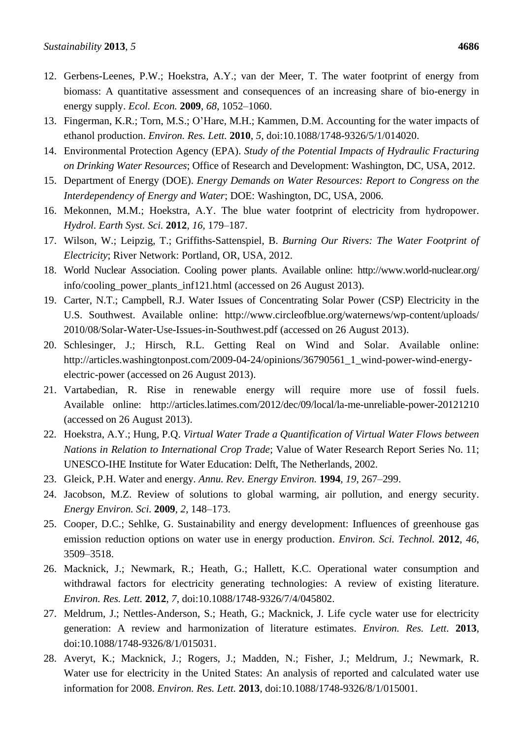- 12. Gerbens-Leenes, P.W.; Hoekstra, A.Y.; van der Meer, T. The water footprint of energy from biomass: A quantitative assessment and consequences of an increasing share of bio-energy in energy supply. *Ecol. Econ.* **2009**, *68*, 1052–1060.
- 13. Fingerman, K.R.; Torn, M.S.; O'Hare, M.H.; Kammen, D.M. Accounting for the water impacts of ethanol production. *Environ. Res. Lett.* **2010**, *5*, doi:10.1088/1748-9326/5/1/014020.
- 14. Environmental Protection Agency (EPA). *Study of the Potential Impacts of Hydraulic Fracturing on Drinking Water Resources*; Office of Research and Development: Washington, DC, USA, 2012.
- 15. Department of Energy (DOE). *Energy Demands on Water Resources: Report to Congress on the Interdependency of Energy and Water*; DOE: Washington, DC, USA, 2006.
- 16. Mekonnen, M.M.; Hoekstra, A.Y. The blue water footprint of electricity from hydropower. *Hydrol. Earth Syst. Sci.* **2012**, *16*, 179–187.
- 17. Wilson, W.; Leipzig, T.; Griffiths-Sattenspiel, B. *Burning Our Rivers: The Water Footprint of Electricity*; River Network: Portland, OR, USA, 2012.
- 18. World Nuclear Association. Cooling power plants. Available online: http://www.world-nuclear.org/ info/cooling\_power\_plants\_inf121.html (accessed on 26 August 2013).
- 19. Carter, N.T.; Campbell, R.J. Water Issues of Concentrating Solar Power (CSP) Electricity in the U.S. Southwest. Available online: http://www.circleofblue.org/waternews/wp-content/uploads/ 2010/08/Solar-Water-Use-Issues-in-Southwest.pdf (accessed on 26 August 2013).
- 20. Schlesinger, J.; Hirsch, R.L. Getting Real on Wind and Solar. Available online: http://articles.washingtonpost.com/2009-04-24/opinions/36790561\_1\_wind-power-wind-energyelectric-power (accessed on 26 August 2013).
- 21. Vartabedian, R. Rise in renewable energy will require more use of fossil fuels. Available online: http://articles.latimes.com/2012/dec/09/local/la-me-unreliable-power-20121210 (accessed on 26 August 2013).
- 22. Hoekstra, A.Y.; Hung, P.Q. *Virtual Water Trade a Quantification of Virtual Water Flows between Nations in Relation to International Crop Trade*; Value of Water Research Report Series No. 11; UNESCO-IHE Institute for Water Education: Delft, The Netherlands, 2002.
- 23. Gleick, P.H. Water and energy*. Annu. Rev. Energy Environ.* **1994***, 19*, 267–299.
- 24. Jacobson, M.Z. Review of solutions to global warming, air pollution, and energy security. *Energy Environ. Sci.* **2009**, *2*, 148–173.
- 25. Cooper, D.C.; Sehlke, G. Sustainability and energy development: Influences of greenhouse gas emission reduction options on water use in energy production. *Environ. Sci. Technol.* **2012**, *46*, 3509–3518.
- 26. Macknick, J.; Newmark, R.; Heath, G.; Hallett, K.C. Operational water consumption and withdrawal factors for electricity generating technologies: A review of existing literature. *Environ. Res. Lett.* **2012**, *7*, doi:10.1088/1748-9326/7/4/045802.
- 27. Meldrum, J.; Nettles-Anderson, S.; Heath, G.; Macknick, J. Life cycle water use for electricity generation: A review and harmonization of literature estimates. *Environ. Res. Lett.* **2013**, doi:10.1088/1748-9326/8/1/015031.
- 28. Averyt, K.; Macknick, J.; Rogers, J.; Madden, N.; Fisher, J.; Meldrum, J.; Newmark, R. Water use for electricity in the United States: An analysis of reported and calculated water use information for 2008. *Environ. Res. Lett.* **2013**, doi:10.1088/1748-9326/8/1/015001.